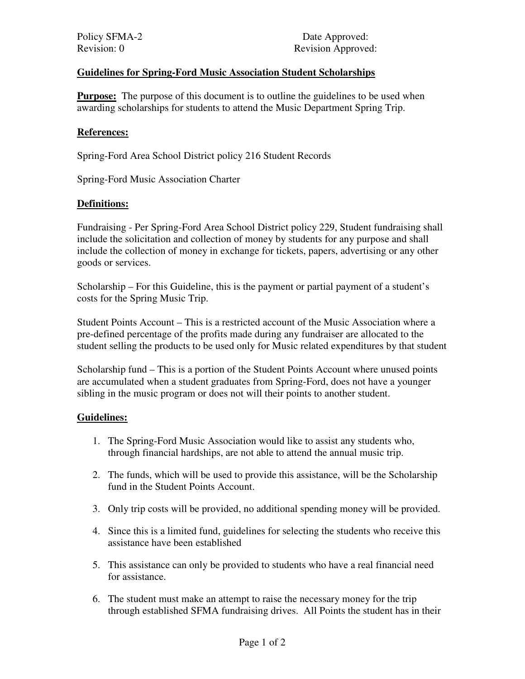Policy SFMA-2 Date Approved: Revision: 0 Revision Approved:

# **Guidelines for Spring-Ford Music Association Student Scholarships**

**Purpose:** The purpose of this document is to outline the guidelines to be used when awarding scholarships for students to attend the Music Department Spring Trip.

#### **References:**

Spring-Ford Area School District policy 216 Student Records

Spring-Ford Music Association Charter

## **Definitions:**

Fundraising - Per Spring-Ford Area School District policy 229, Student fundraising shall include the solicitation and collection of money by students for any purpose and shall include the collection of money in exchange for tickets, papers, advertising or any other goods or services.

Scholarship – For this Guideline, this is the payment or partial payment of a student's costs for the Spring Music Trip.

Student Points Account – This is a restricted account of the Music Association where a pre-defined percentage of the profits made during any fundraiser are allocated to the student selling the products to be used only for Music related expenditures by that student

Scholarship fund – This is a portion of the Student Points Account where unused points are accumulated when a student graduates from Spring-Ford, does not have a younger sibling in the music program or does not will their points to another student.

#### **Guidelines:**

- 1. The Spring-Ford Music Association would like to assist any students who, through financial hardships, are not able to attend the annual music trip.
- 2. The funds, which will be used to provide this assistance, will be the Scholarship fund in the Student Points Account.
- 3. Only trip costs will be provided, no additional spending money will be provided.
- 4. Since this is a limited fund, guidelines for selecting the students who receive this assistance have been established
- 5. This assistance can only be provided to students who have a real financial need for assistance.
- 6. The student must make an attempt to raise the necessary money for the trip through established SFMA fundraising drives. All Points the student has in their